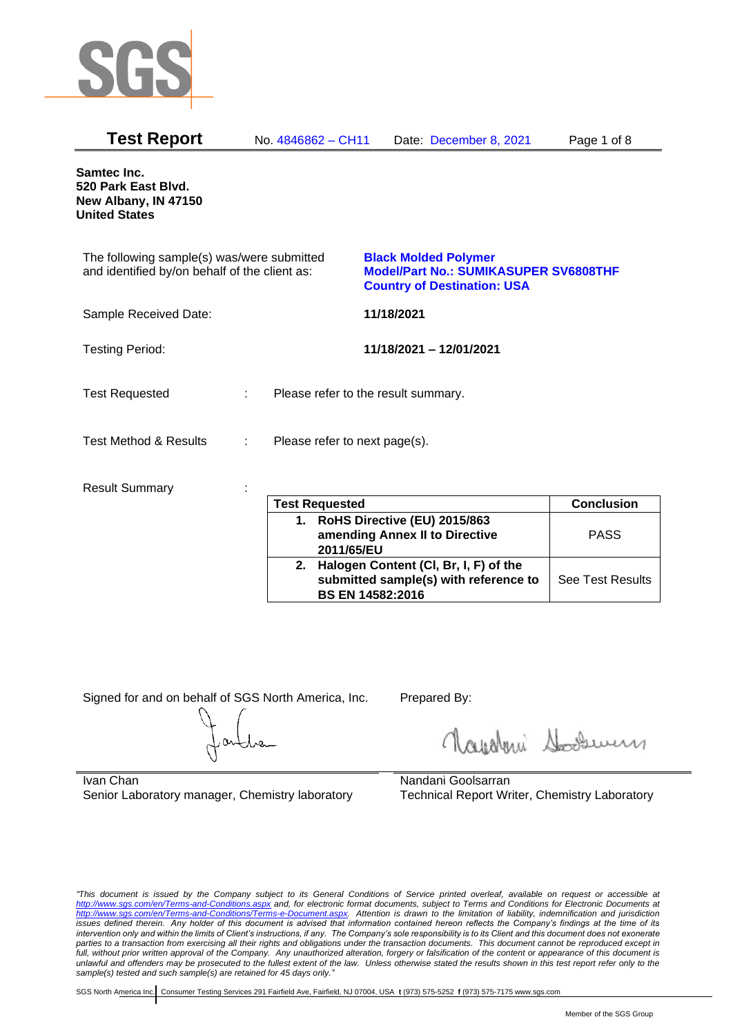

| <b>Test Report</b>                                                                          | No. 4846862 - CH11 | Date: December 8, 2021                                                                                            | Page 1 of 8 |
|---------------------------------------------------------------------------------------------|--------------------|-------------------------------------------------------------------------------------------------------------------|-------------|
| <b>Samtec Inc.</b><br>520 Park East Blvd.<br>New Albany, IN 47150<br><b>United States</b>   |                    |                                                                                                                   |             |
| The following sample(s) was/were submitted<br>and identified by/on behalf of the client as: |                    | <b>Black Molded Polymer</b><br><b>Model/Part No.: SUMIKASUPER SV6808THF</b><br><b>Country of Destination: USA</b> |             |
| Sample Received Date:                                                                       |                    | 11/18/2021                                                                                                        |             |
| <b>Testing Period:</b>                                                                      |                    | 11/18/2021 - 12/01/2021                                                                                           |             |
| <b>Test Requested</b>                                                                       | ÷.                 | Please refer to the result summary.                                                                               |             |
| Test Method & Results                                                                       | ÷                  | Please refer to next page(s).                                                                                     |             |
| <b>Result Summary</b>                                                                       |                    |                                                                                                                   |             |

| <b>Test Requested</b>                                                                                        | <b>Conclusion</b>       |
|--------------------------------------------------------------------------------------------------------------|-------------------------|
| 1. RoHS Directive (EU) 2015/863<br>amending Annex II to Directive<br>2011/65/EU                              | <b>PASS</b>             |
| 2. Halogen Content (CI, Br, I, F) of the<br>submitted sample(s) with reference to<br><b>BS EN 14582:2016</b> | <b>See Test Results</b> |

Signed for and on behalf of SGS North America, Inc. Prepared By:

Nightani Somern

Ivan Chan Senior Laboratory manager, Chemistry laboratory

Nandani Goolsarran Technical Report Writer, Chemistry Laboratory

*"This document is issued by the Company subject to its General Conditions of Service printed overleaf, available on request or accessible at <http://www.sgs.com/en/Terms-and-Conditions.aspx> and, for electronic format documents, subject to Terms and Conditions for Electronic Documents at [http://www.sgs.com/en/Terms-and-Conditions/Terms-e-Document.aspx.](http://www.sgs.com/en/Terms-and-Conditions/Terms-e-Document.aspx) Attention is drawn to the limitation of liability, indemnification and jurisdiction issues defined therein. Any holder of this document is advised that information contained hereon reflects the Company's findings at the time of its intervention only and within the limits of Client's instructions, if any. The Company's sole responsibility is to its Client and this document does not exonerate parties to a transaction from exercising all their rights and obligations under the transaction documents. This document cannot be reproduced except in full, without prior written approval of the Company. Any unauthorized alteration, forgery or falsification of the content or appearance of this document is unlawful and offenders may be prosecuted to the fullest extent of the law. Unless otherwise stated the results shown in this test report refer only to the sample(s) tested and such sample(s) are retained for 45 days only."*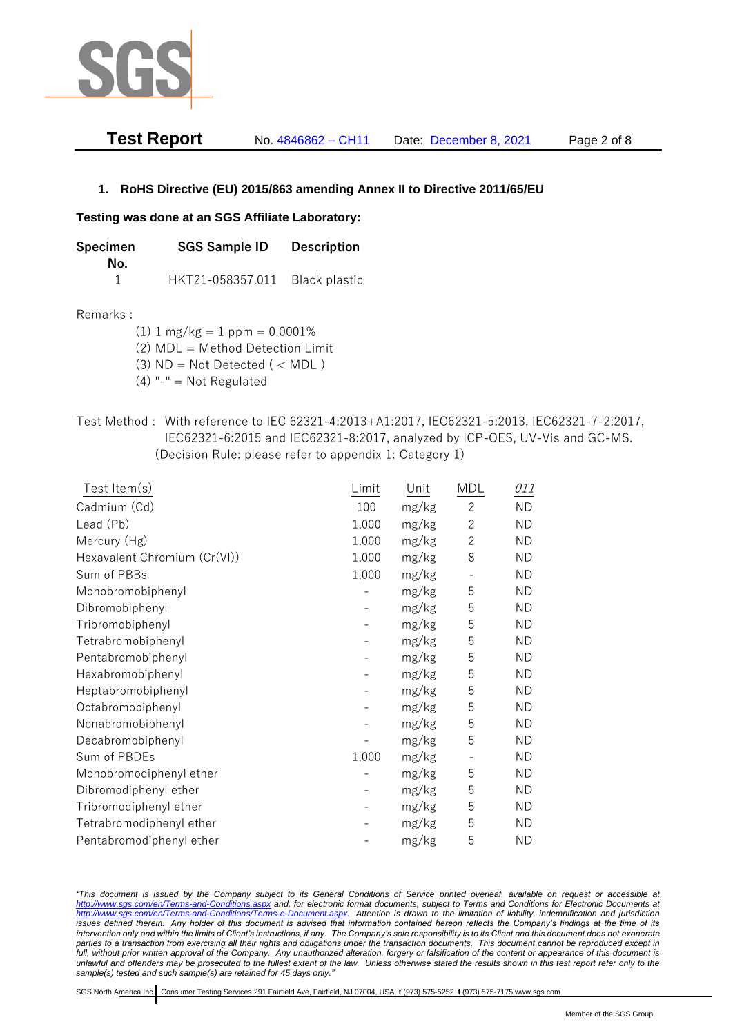

| <b>Test Report</b> | No. 4846862 - CH11 | Date: December 8, 2021 | Page 2 of 8 |
|--------------------|--------------------|------------------------|-------------|
|--------------------|--------------------|------------------------|-------------|

## **1. RoHS Directive (EU) 2015/863 amending Annex II to Directive 2011/65/EU**

### **Testing was done at an SGS Affiliate Laboratory:**

| Specimen | <b>SGS Sample ID</b> | <b>Description</b> |  |
|----------|----------------------|--------------------|--|
| No.      |                      |                    |  |
|          | HKT21-058357.011     | Black plastic      |  |

### Remarks :

(1)  $1 \text{ mg/kg} = 1 \text{ ppm} = 0.0001\%$ 

(2) MDL = Method Detection Limit

(3)  $ND = Not detected$  ( < MDL)

- (4) "-" = Not Regulated
- Test Method : With reference to IEC 62321-4:2013+A1:2017, IEC62321-5:2013, IEC62321-7-2:2017, IEC62321-6:2015 and IEC62321-8:2017, analyzed by ICP-OES, UV-Vis and GC-MS. (Decision Rule: please refer to appendix 1: Category 1)

| Test Item(s)                 | Limit | Unit  | MDL          | 011       |
|------------------------------|-------|-------|--------------|-----------|
| Cadmium (Cd)                 | 100   | mg/kg | $\mathbf{2}$ | <b>ND</b> |
| Lead (Pb)                    | 1,000 | mg/kg | $\mathbf{2}$ | <b>ND</b> |
| Mercury (Hg)                 | 1,000 | mg/kg | $\mathbf{2}$ | <b>ND</b> |
| Hexavalent Chromium (Cr(VI)) | 1,000 | mg/kg | 8            | <b>ND</b> |
| Sum of PBBs                  | 1,000 | mg/kg |              | <b>ND</b> |
| Monobromobiphenyl            |       | mg/kg | 5            | <b>ND</b> |
| Dibromobiphenyl              |       | mg/kg | 5            | <b>ND</b> |
| Tribromobiphenyl             |       | mg/kg | 5            | <b>ND</b> |
| Tetrabromobiphenyl           |       | mg/kg | 5            | <b>ND</b> |
| Pentabromobiphenyl           |       | mg/kg | 5            | <b>ND</b> |
| Hexabromobiphenyl            |       | mg/kg | 5            | <b>ND</b> |
| Heptabromobiphenyl           |       | mg/kg | 5            | <b>ND</b> |
| Octabromobiphenyl            |       | mg/kg | 5            | <b>ND</b> |
| Nonabromobiphenyl            |       | mg/kg | 5            | <b>ND</b> |
| Decabromobiphenyl            |       | mg/kg | 5            | <b>ND</b> |
| Sum of PBDEs                 | 1,000 | mg/kg |              | <b>ND</b> |
| Monobromodiphenyl ether      |       | mg/kg | 5            | <b>ND</b> |
| Dibromodiphenyl ether        |       | mg/kg | 5            | <b>ND</b> |
| Tribromodiphenyl ether       |       | mg/kg | 5            | <b>ND</b> |
| Tetrabromodiphenyl ether     |       | mg/kg | 5            | <b>ND</b> |
| Pentabromodiphenyl ether     |       | mg/kg | 5            | <b>ND</b> |

*"This document is issued by the Company subject to its General Conditions of Service printed overleaf, available on request or accessible at <http://www.sgs.com/en/Terms-and-Conditions.aspx> and, for electronic format documents, subject to Terms and Conditions for Electronic Documents at [http://www.sgs.com/en/Terms-and-Conditions/Terms-e-Document.aspx.](http://www.sgs.com/en/Terms-and-Conditions/Terms-e-Document.aspx) Attention is drawn to the limitation of liability, indemnification and jurisdiction issues defined therein. Any holder of this document is advised that information contained hereon reflects the Company's findings at the time of its intervention only and within the limits of Client's instructions, if any. The Company's sole responsibility is to its Client and this document does not exonerate*  parties to a transaction from exercising all their rights and obligations under the transaction documents. This document cannot be reproduced except in *full, without prior written approval of the Company. Any unauthorized alteration, forgery or falsification of the content or appearance of this document is unlawful and offenders may be prosecuted to the fullest extent of the law. Unless otherwise stated the results shown in this test report refer only to the sample(s) tested and such sample(s) are retained for 45 days only."*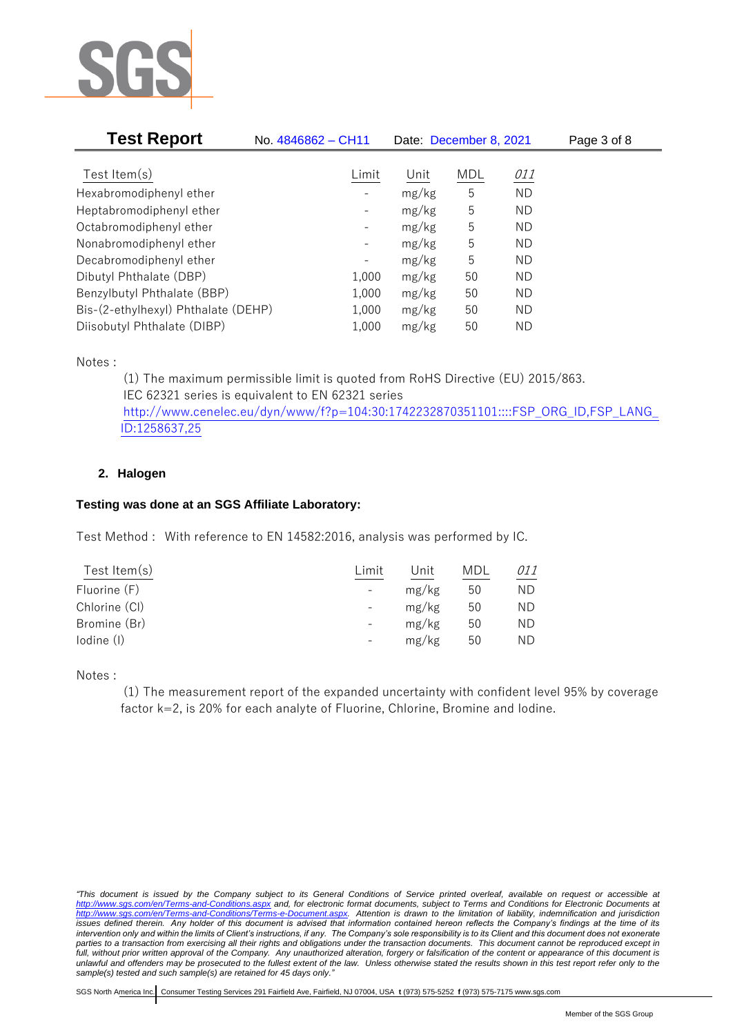

| <b>Test Report</b>                  | No. 4846862 - CH11       | Date: December 8, 2021 |            |            | Page 3 of 8 |
|-------------------------------------|--------------------------|------------------------|------------|------------|-------------|
|                                     |                          |                        |            |            |             |
| Test Item $(s)$                     | Limit                    | Unit                   | <b>MDL</b> | <i>011</i> |             |
| Hexabromodiphenyl ether             |                          | mg/kg                  | 5          | <b>ND</b>  |             |
| Heptabromodiphenyl ether            |                          | mg/kg                  | 5          | ND         |             |
| Octabromodiphenyl ether             | $\overline{\phantom{a}}$ | mg/kg                  | 5          | ND         |             |
| Nonabromodiphenyl ether             | $\overline{\phantom{a}}$ | mg/kg                  | 5          | ND         |             |
| Decabromodiphenyl ether             | $\overline{\phantom{a}}$ | mg/kg                  | 5          | ND         |             |
| Dibutyl Phthalate (DBP)             | 1,000                    | mg/kg                  | 50         | ND         |             |
| Benzylbutyl Phthalate (BBP)         | 1,000                    | mg/kg                  | 50         | ND         |             |
| Bis-(2-ethylhexyl) Phthalate (DEHP) | 1,000                    | mg/kg                  | 50         | ND.        |             |
| Diisobutyl Phthalate (DIBP)         | 1,000                    | mg/kg                  | 50         | ΝD         |             |

Notes :

(1) The maximum permissible limit is quoted from RoHS Directive (EU) 2015/863. IEC 62321 series is equivalent to EN 62321 series [http://www.cenelec.eu/dyn/www/f?p=104:30:1742232870351101::::FSP\\_ORG\\_ID,FSP\\_LANG\\_](http://www.cenelec.eu/dyn/www/f?p=104:30:1742232870351101::::FSP_ORG_ID,FSP_LANG_ID:1258637,25) [ID:1258637,25](http://www.cenelec.eu/dyn/www/f?p=104:30:1742232870351101::::FSP_ORG_ID,FSP_LANG_ID:1258637,25)

## **2. Halogen**

## **Testing was done at an SGS Affiliate Laboratory:**

Test Method : With reference to EN 14582:2016, analysis was performed by IC.

| Test Item $(s)$ | Limit                    | Unit  | MDL | 011 |
|-----------------|--------------------------|-------|-----|-----|
| Fluorine (F)    | $\overline{\phantom{a}}$ | mg/kg | 50  | ND. |
| Chlorine (CI)   | $\overline{\phantom{a}}$ | mg/kg | 50  | ND  |
| Bromine (Br)    | $\overline{\phantom{a}}$ | mg/kg | 50  | ΝD  |
| lodine (I)      |                          | mg/kg | 50  | ND  |
|                 |                          |       |     |     |

Notes :

(1) The measurement report of the expanded uncertainty with confident level 95% by coverage factor k=2, is 20% for each analyte of Fluorine, Chlorine, Bromine and Iodine.

*<sup>&</sup>quot;This document is issued by the Company subject to its General Conditions of Service printed overleaf, available on request or accessible at <http://www.sgs.com/en/Terms-and-Conditions.aspx> and, for electronic format documents, subject to Terms and Conditions for Electronic Documents at [http://www.sgs.com/en/Terms-and-Conditions/Terms-e-Document.aspx.](http://www.sgs.com/en/Terms-and-Conditions/Terms-e-Document.aspx) Attention is drawn to the limitation of liability, indemnification and jurisdiction issues defined therein. Any holder of this document is advised that information contained hereon reflects the Company's findings at the time of its intervention only and within the limits of Client's instructions, if any. The Company's sole responsibility is to its Client and this document does not exonerate*  parties to a transaction from exercising all their rights and obligations under the transaction documents. This document cannot be reproduced except in *full, without prior written approval of the Company. Any unauthorized alteration, forgery or falsification of the content or appearance of this document is unlawful and offenders may be prosecuted to the fullest extent of the law. Unless otherwise stated the results shown in this test report refer only to the sample(s) tested and such sample(s) are retained for 45 days only."*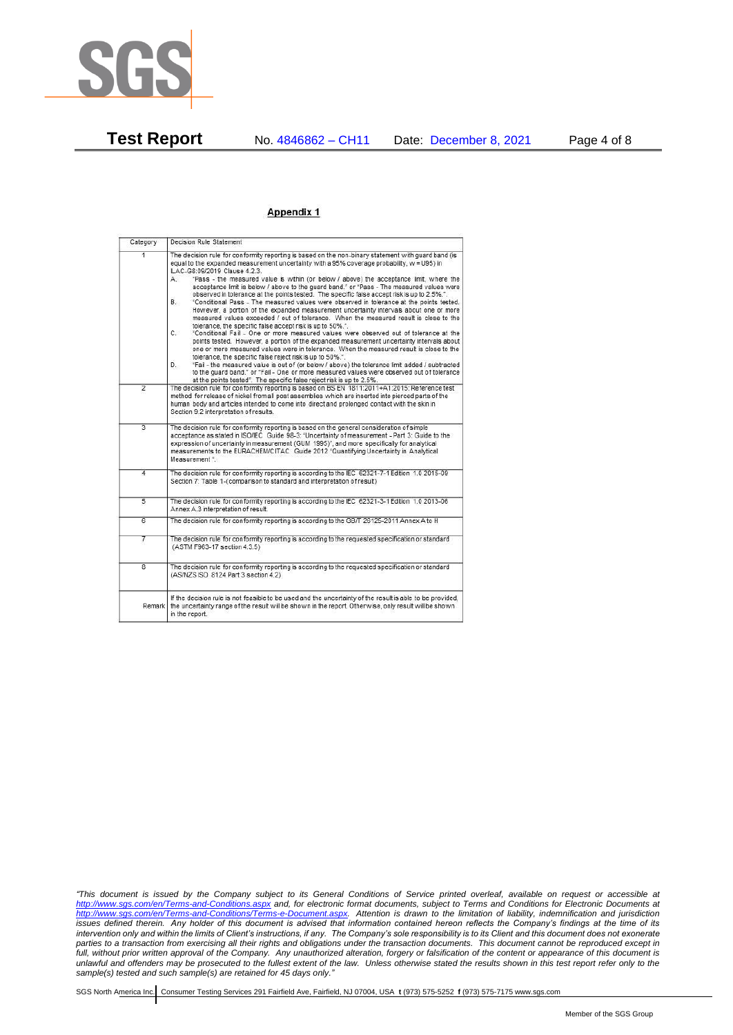

#### Appendix 1

| Category       | Decision Rule Statement                                                                                                                                                                                                                                                                                                                                                                                                                                                                                                                                                                                                                                                                                                                                                                                                                                                                                                                                                                                                                                                                                                                                                                                                                                                                                                                                                                                                                                                                                           |  |  |  |
|----------------|-------------------------------------------------------------------------------------------------------------------------------------------------------------------------------------------------------------------------------------------------------------------------------------------------------------------------------------------------------------------------------------------------------------------------------------------------------------------------------------------------------------------------------------------------------------------------------------------------------------------------------------------------------------------------------------------------------------------------------------------------------------------------------------------------------------------------------------------------------------------------------------------------------------------------------------------------------------------------------------------------------------------------------------------------------------------------------------------------------------------------------------------------------------------------------------------------------------------------------------------------------------------------------------------------------------------------------------------------------------------------------------------------------------------------------------------------------------------------------------------------------------------|--|--|--|
|                | The decision rule for conformity reporting is based on the non-binary statement with quard band (is<br>equal to the expanded measurement uncertainty with a 95% coverage probability, w = U95) in<br>ILAC-G8:09/2019 Clause 4.2.3.<br>"Pass - the measured value is within (or below / above) the acceptance limit, where the<br>А.<br>acceptance limit is below / above to the quard band." or "Pass - The measured values were<br>observed in tolerance at the points tested. The specific false accept risk is up to 2.5%.".<br>B.<br>"Conditional Pass - The measured values were observed in tolerance at the points tested.<br>However, a portion of the expanded measurement uncertainty intervals about one or more<br>measured values exceeded / out of tolerance. When the measured result is close to the<br>tolerance, the specific false accept risk is up to 50%."<br>C.<br>"Conditional Fail - One or more measured values were observed out of tolerance at the<br>points tested. However, a portion of the expanded measurement uncertainty intervals about<br>one or more measured values were in tolerance. When the measured result is close to the<br>tolerance, the specific false reject risk is up to 50%.".<br>"Fail - the measured value is out of (or below / above) the tolerance limit added / subtracted<br>D.<br>to the quard band." or "Fail - One or more measured values were observed out of tolerance<br>at the points tested". The specific false reject risk is up to 2.5%. |  |  |  |
| $\overline{2}$ | The decision rule for conformity reporting is based on BS EN 1811:2011+A1:2015: Reference test<br>method for release of nickel from all post assemblies which are inserted into pierced parts of the<br>human body and articles intended to come into direct and prolonged contact with the skin in<br>Section 9.2 interpretation of results.                                                                                                                                                                                                                                                                                                                                                                                                                                                                                                                                                                                                                                                                                                                                                                                                                                                                                                                                                                                                                                                                                                                                                                     |  |  |  |
| 3              | The decision rule for conformity reporting is based on the general consideration of simple<br>acceptance as stated in ISO/IEC Guide 98-3: "Uncertainty of measurement - Part 3: Guide to the<br>expression of uncertainty in measurement (GUM 1995)", and more specifically for analytical<br>measurements to the EURACHEM/CITAC Guide 2012 "Quantifying Uncertainty in Analytical<br>Measurement".                                                                                                                                                                                                                                                                                                                                                                                                                                                                                                                                                                                                                                                                                                                                                                                                                                                                                                                                                                                                                                                                                                               |  |  |  |
| 4              | The decision rule for conformity reporting is according to the IEC 62321-7-1 Edition 1.0 2015-09<br>Section 7: Table 1-(comparison to standard and interpretation of result)                                                                                                                                                                                                                                                                                                                                                                                                                                                                                                                                                                                                                                                                                                                                                                                                                                                                                                                                                                                                                                                                                                                                                                                                                                                                                                                                      |  |  |  |
| 5              | The decision rule for conformity reporting is according to the IEC 62321-3-1 Edition 1.0 2013-06<br>Annex A.3 interpretation of result.                                                                                                                                                                                                                                                                                                                                                                                                                                                                                                                                                                                                                                                                                                                                                                                                                                                                                                                                                                                                                                                                                                                                                                                                                                                                                                                                                                           |  |  |  |
| Б              | The decision rule for conformity reporting is according to the GB/T 26125-2011 Annex A to H                                                                                                                                                                                                                                                                                                                                                                                                                                                                                                                                                                                                                                                                                                                                                                                                                                                                                                                                                                                                                                                                                                                                                                                                                                                                                                                                                                                                                       |  |  |  |
| 7              | The decision rule for conformity reporting is according to the requested specification or standard<br>(ASTM F963-17 section 4.3.5)                                                                                                                                                                                                                                                                                                                                                                                                                                                                                                                                                                                                                                                                                                                                                                                                                                                                                                                                                                                                                                                                                                                                                                                                                                                                                                                                                                                |  |  |  |
| 8              | The decision rule for conformity reporting is according to the requested specification or standard<br>(AS/NZS ISO 8124 Part 3 section 4.2)                                                                                                                                                                                                                                                                                                                                                                                                                                                                                                                                                                                                                                                                                                                                                                                                                                                                                                                                                                                                                                                                                                                                                                                                                                                                                                                                                                        |  |  |  |
| Remark         | If the decision rule is not feasible to be used and the uncertainty of the result is able to be provided,<br>the uncertainty range of the result will be shown in the report. Otherwise, only result will be shown<br>in the report.                                                                                                                                                                                                                                                                                                                                                                                                                                                                                                                                                                                                                                                                                                                                                                                                                                                                                                                                                                                                                                                                                                                                                                                                                                                                              |  |  |  |

*"This document is issued by the Company subject to its General Conditions of Service printed overleaf, available on request or accessible at <http://www.sgs.com/en/Terms-and-Conditions.aspx> and, for electronic format documents, subject to Terms and Conditions for Electronic Documents at [http://www.sgs.com/en/Terms-and-Conditions/Terms-e-Document.aspx.](http://www.sgs.com/en/Terms-and-Conditions/Terms-e-Document.aspx) Attention is drawn to the limitation of liability, indemnification and jurisdiction issues defined therein. Any holder of this document is advised that information contained hereon reflects the Company's findings at the time of its intervention only and within the limits of Client's instructions, if any. The Company's sole responsibility is to its Client and this document does not exonerate parties to a transaction from exercising all their rights and obligations under the transaction documents. This document cannot be reproduced except in full, without prior written approval of the Company. Any unauthorized alteration, forgery or falsification of the content or appearance of this document is unlawful and offenders may be prosecuted to the fullest extent of the law. Unless otherwise stated the results shown in this test report refer only to the sample(s) tested and such sample(s) are retained for 45 days only."*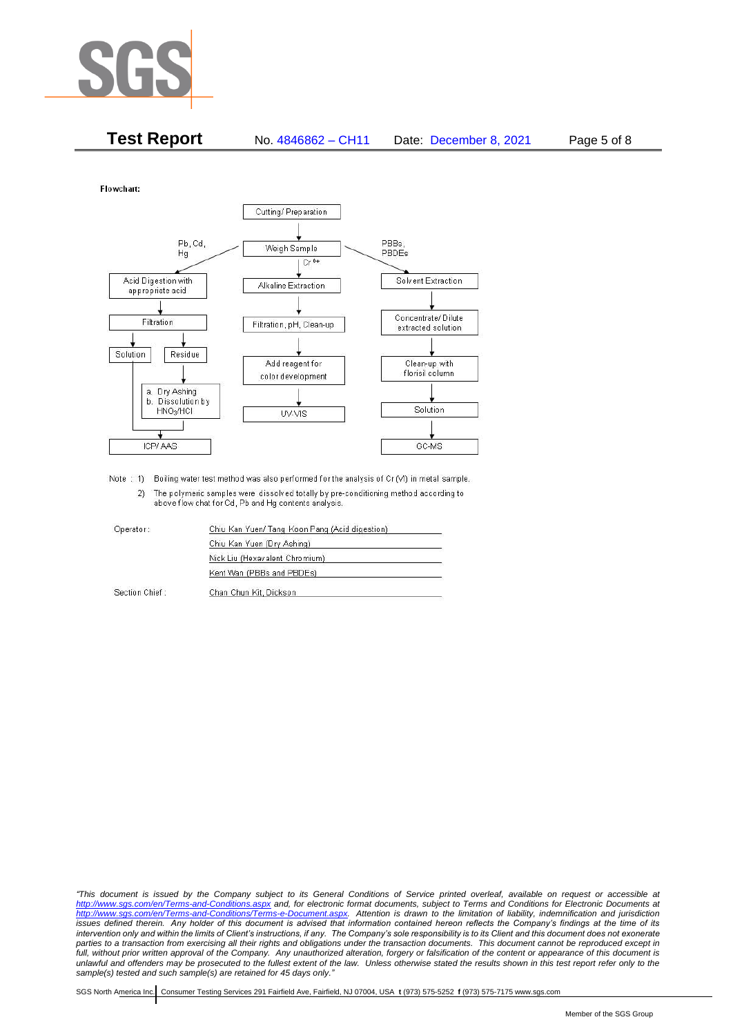

| <b>Test Report</b> | No. 4846862 - CH11 | Date: December 8, 2021 | Page 5 of 8 |
|--------------------|--------------------|------------------------|-------------|
|--------------------|--------------------|------------------------|-------------|

Flowchart:



Note : 1) Boiling water test method was also performed for the analysis of Cr (VI) in metal sample. 2) The polymeric samples were dissolved totally by pre-conditioning method according to above flow chat for Cd, Pb and Hg contents analysis

| Operator:      | Chiu Kan Yuen/ Tang Koon Pang (Acid digestion) |  |
|----------------|------------------------------------------------|--|
|                | Chiu Kan Yuen (Dry Ashing)                     |  |
|                | Nick Liu (Hexavalent Chromium)                 |  |
|                | Kent Wan (PBBs and PBDEs)                      |  |
| Section Chief: | Chan Chun Kit, Dickson                         |  |

*"This document is issued by the Company subject to its General Conditions of Service printed overleaf, available on request or accessible at <http://www.sgs.com/en/Terms-and-Conditions.aspx> and, for electronic format documents, subject to Terms and Conditions for Electronic Documents at [http://www.sgs.com/en/Terms-and-Conditions/Terms-e-Document.aspx.](http://www.sgs.com/en/Terms-and-Conditions/Terms-e-Document.aspx) Attention is drawn to the limitation of liability, indemnification and jurisdiction issues defined therein. Any holder of this document is advised that information contained hereon reflects the Company's findings at the time of its intervention only and within the limits of Client's instructions, if any. The Company's sole responsibility is to its Client and this document does not exonerate*  parties to a transaction from exercising all their rights and obligations under the transaction documents. This document cannot be reproduced except in *full, without prior written approval of the Company. Any unauthorized alteration, forgery or falsification of the content or appearance of this document is unlawful and offenders may be prosecuted to the fullest extent of the law. Unless otherwise stated the results shown in this test report refer only to the sample(s) tested and such sample(s) are retained for 45 days only."*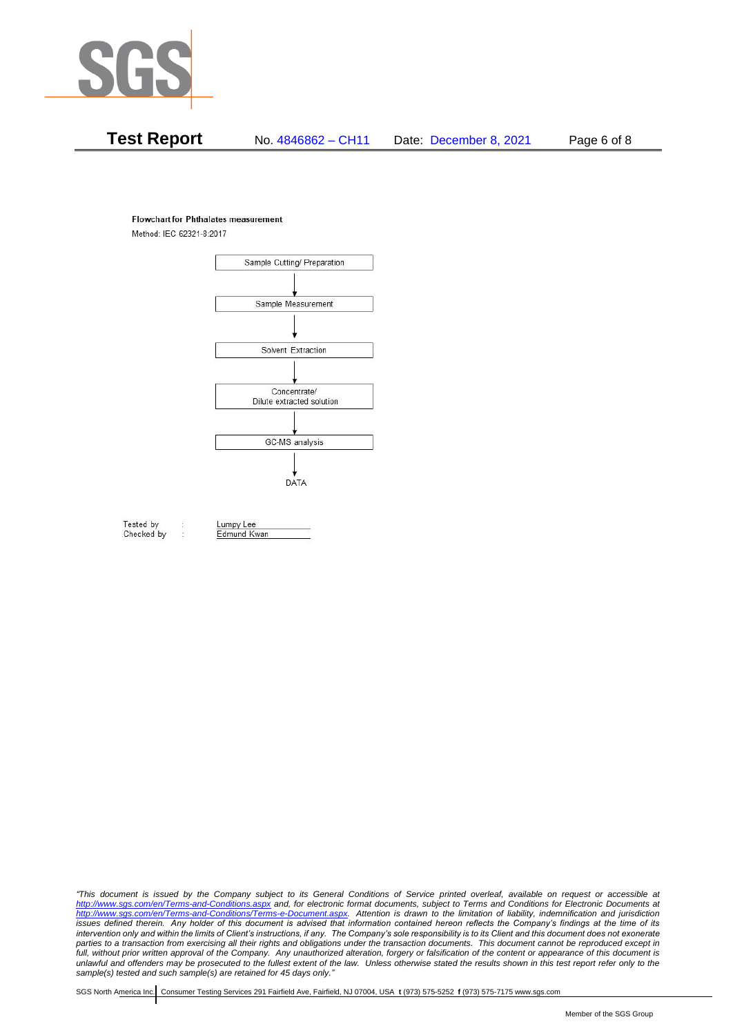

# **Test Report** No. 4846862 – CH11 Date: December 8, 2021 Page 6 of 8

#### **Flowchart for Phthalates measurement**

Method: IEC 62321-8:2017



Tested by Checked by Lumpy Lee Edmund Kwan

*"This document is issued by the Company subject to its General Conditions of Service printed overleaf, available on request or accessible at <http://www.sgs.com/en/Terms-and-Conditions.aspx> and, for electronic format documents, subject to Terms and Conditions for Electronic Documents at [http://www.sgs.com/en/Terms-and-Conditions/Terms-e-Document.aspx.](http://www.sgs.com/en/Terms-and-Conditions/Terms-e-Document.aspx) Attention is drawn to the limitation of liability, indemnification and jurisdiction issues defined therein. Any holder of this document is advised that information contained hereon reflects the Company's findings at the time of its intervention only and within the limits of Client's instructions, if any. The Company's sole responsibility is to its Client and this document does not exonerate*  parties to a transaction from exercising all their rights and obligations under the transaction documents. This document cannot be reproduced except in *full, without prior written approval of the Company. Any unauthorized alteration, forgery or falsification of the content or appearance of this document is unlawful and offenders may be prosecuted to the fullest extent of the law. Unless otherwise stated the results shown in this test report refer only to the sample(s) tested and such sample(s) are retained for 45 days only."*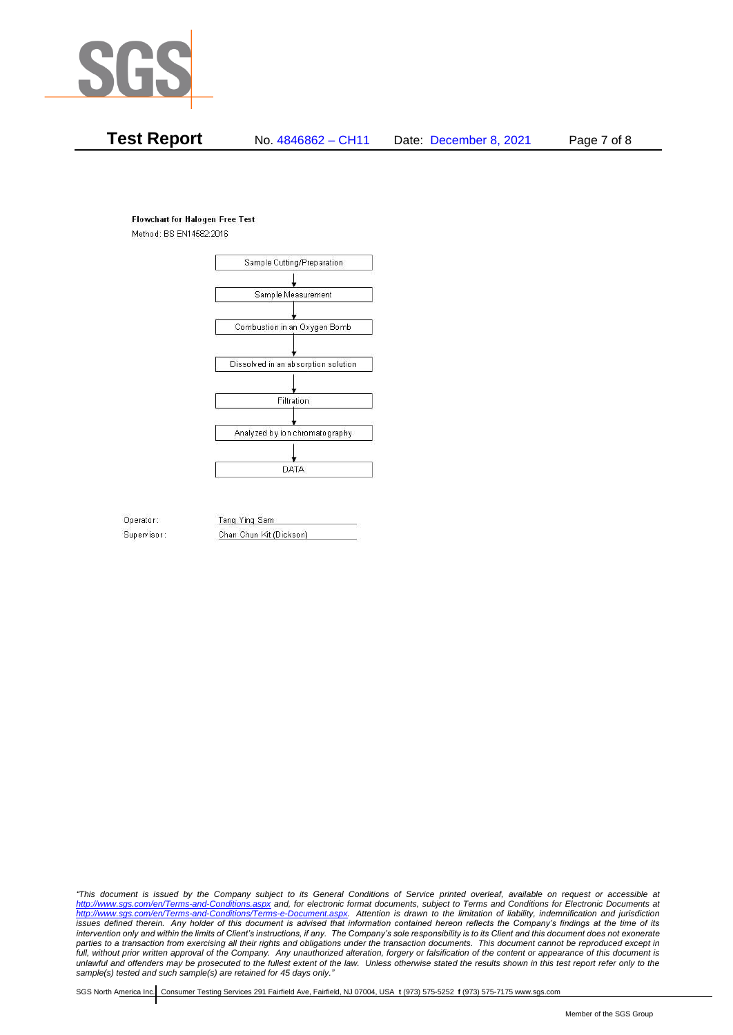

# **Test Report** No. 4846862 – CH11 Date: December 8, 2021 Page 7 of 8

#### **Flowchart for Halogen Free Test**

Method: BS EN14582:2016



Operator: Supervisor: Tang Ying Sam Chan Chun Kit (Dickson)

*"This document is issued by the Company subject to its General Conditions of Service printed overleaf, available on request or accessible at <http://www.sgs.com/en/Terms-and-Conditions.aspx> and, for electronic format documents, subject to Terms and Conditions for Electronic Documents at [http://www.sgs.com/en/Terms-and-Conditions/Terms-e-Document.aspx.](http://www.sgs.com/en/Terms-and-Conditions/Terms-e-Document.aspx) Attention is drawn to the limitation of liability, indemnification and jurisdiction issues defined therein. Any holder of this document is advised that information contained hereon reflects the Company's findings at the time of its intervention only and within the limits of Client's instructions, if any. The Company's sole responsibility is to its Client and this document does not exonerate*  parties to a transaction from exercising all their rights and obligations under the transaction documents. This document cannot be reproduced except in *full, without prior written approval of the Company. Any unauthorized alteration, forgery or falsification of the content or appearance of this document is unlawful and offenders may be prosecuted to the fullest extent of the law. Unless otherwise stated the results shown in this test report refer only to the sample(s) tested and such sample(s) are retained for 45 days only."*